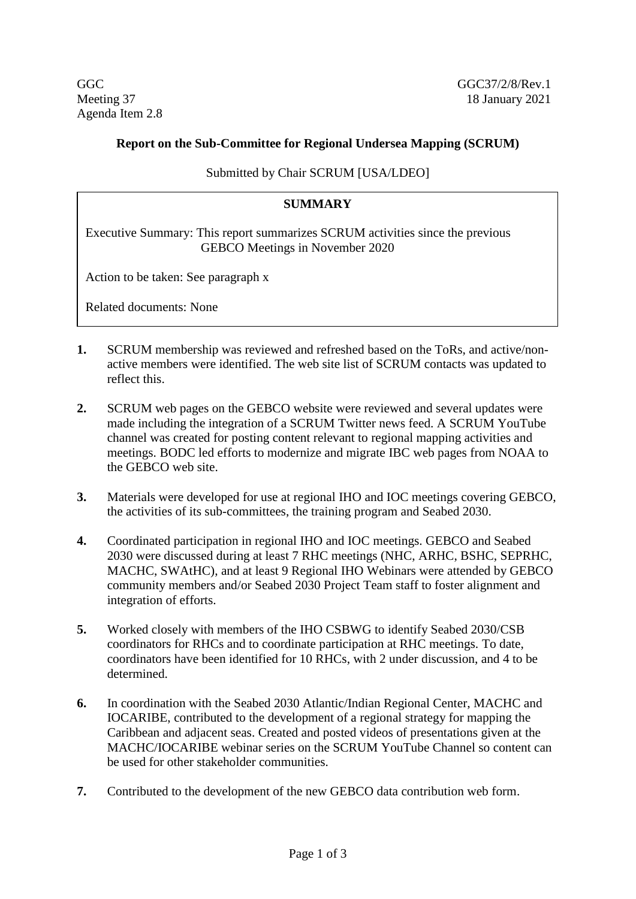Agenda Item 2.8

GGC GGC GGC 57/2/8/Rev.1 Meeting 37 18 January 2021

## **Report on the Sub-Committee for Regional Undersea Mapping (SCRUM)**

Submitted by Chair SCRUM [USA/LDEO]

## **SUMMARY**

Executive Summary: This report summarizes SCRUM activities since the previous GEBCO Meetings in November 2020

Action to be taken: See paragraph x

Related documents: None

- **1.** SCRUM membership was reviewed and refreshed based on the ToRs, and active/nonactive members were identified. The web site list of SCRUM contacts was updated to reflect this.
- **2.** SCRUM web pages on the GEBCO website were reviewed and several updates were made including the integration of a SCRUM Twitter news feed. A SCRUM YouTube channel was created for posting content relevant to regional mapping activities and meetings. BODC led efforts to modernize and migrate IBC web pages from NOAA to the GEBCO web site.
- **3.** Materials were developed for use at regional IHO and IOC meetings covering GEBCO, the activities of its sub-committees, the training program and Seabed 2030.
- **4.** Coordinated participation in regional IHO and IOC meetings. GEBCO and Seabed 2030 were discussed during at least 7 RHC meetings (NHC, ARHC, BSHC, SEPRHC, MACHC, SWAtHC), and at least 9 Regional IHO Webinars were attended by GEBCO community members and/or Seabed 2030 Project Team staff to foster alignment and integration of efforts.
- **5.** Worked closely with members of the IHO CSBWG to identify Seabed 2030/CSB coordinators for RHCs and to coordinate participation at RHC meetings. To date, coordinators have been identified for 10 RHCs, with 2 under discussion, and 4 to be determined.
- **6.** In coordination with the Seabed 2030 Atlantic/Indian Regional Center, MACHC and IOCARIBE, contributed to the development of a regional strategy for mapping the Caribbean and adjacent seas. Created and posted videos of presentations given at the MACHC/IOCARIBE webinar series on the SCRUM YouTube Channel so content can be used for other stakeholder communities.
- **7.** Contributed to the development of the new GEBCO data contribution web form.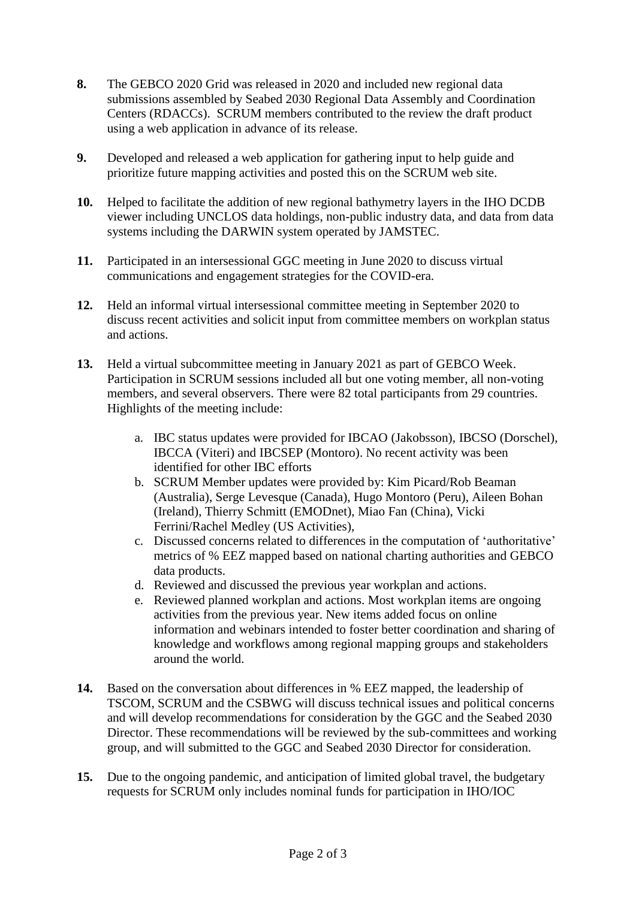- **8.** The GEBCO 2020 Grid was released in 2020 and included new regional data submissions assembled by Seabed 2030 Regional Data Assembly and Coordination Centers (RDACCs). SCRUM members contributed to the review the draft product using a web application in advance of its release.
- **9.** Developed and released a web application for gathering input to help guide and prioritize future mapping activities and posted this on the SCRUM web site.
- **10.** Helped to facilitate the addition of new regional bathymetry layers in the IHO DCDB viewer including UNCLOS data holdings, non-public industry data, and data from data systems including the DARWIN system operated by JAMSTEC.
- **11.** Participated in an intersessional GGC meeting in June 2020 to discuss virtual communications and engagement strategies for the COVID-era.
- **12.** Held an informal virtual intersessional committee meeting in September 2020 to discuss recent activities and solicit input from committee members on workplan status and actions.
- **13.** Held a virtual subcommittee meeting in January 2021 as part of GEBCO Week. Participation in SCRUM sessions included all but one voting member, all non-voting members, and several observers. There were 82 total participants from 29 countries. Highlights of the meeting include:
	- a. IBC status updates were provided for IBCAO (Jakobsson), IBCSO (Dorschel), IBCCA (Viteri) and IBCSEP (Montoro). No recent activity was been identified for other IBC efforts
	- b. SCRUM Member updates were provided by: Kim Picard/Rob Beaman (Australia), Serge Levesque (Canada), Hugo Montoro (Peru), Aileen Bohan (Ireland), Thierry Schmitt (EMODnet), Miao Fan (China), Vicki Ferrini/Rachel Medley (US Activities),
	- c. Discussed concerns related to differences in the computation of 'authoritative' metrics of % EEZ mapped based on national charting authorities and GEBCO data products.
	- d. Reviewed and discussed the previous year workplan and actions.
	- e. Reviewed planned workplan and actions. Most workplan items are ongoing activities from the previous year. New items added focus on online information and webinars intended to foster better coordination and sharing of knowledge and workflows among regional mapping groups and stakeholders around the world.
- **14.** Based on the conversation about differences in % EEZ mapped, the leadership of TSCOM, SCRUM and the CSBWG will discuss technical issues and political concerns and will develop recommendations for consideration by the GGC and the Seabed 2030 Director. These recommendations will be reviewed by the sub-committees and working group, and will submitted to the GGC and Seabed 2030 Director for consideration.
- **15.** Due to the ongoing pandemic, and anticipation of limited global travel, the budgetary requests for SCRUM only includes nominal funds for participation in IHO/IOC